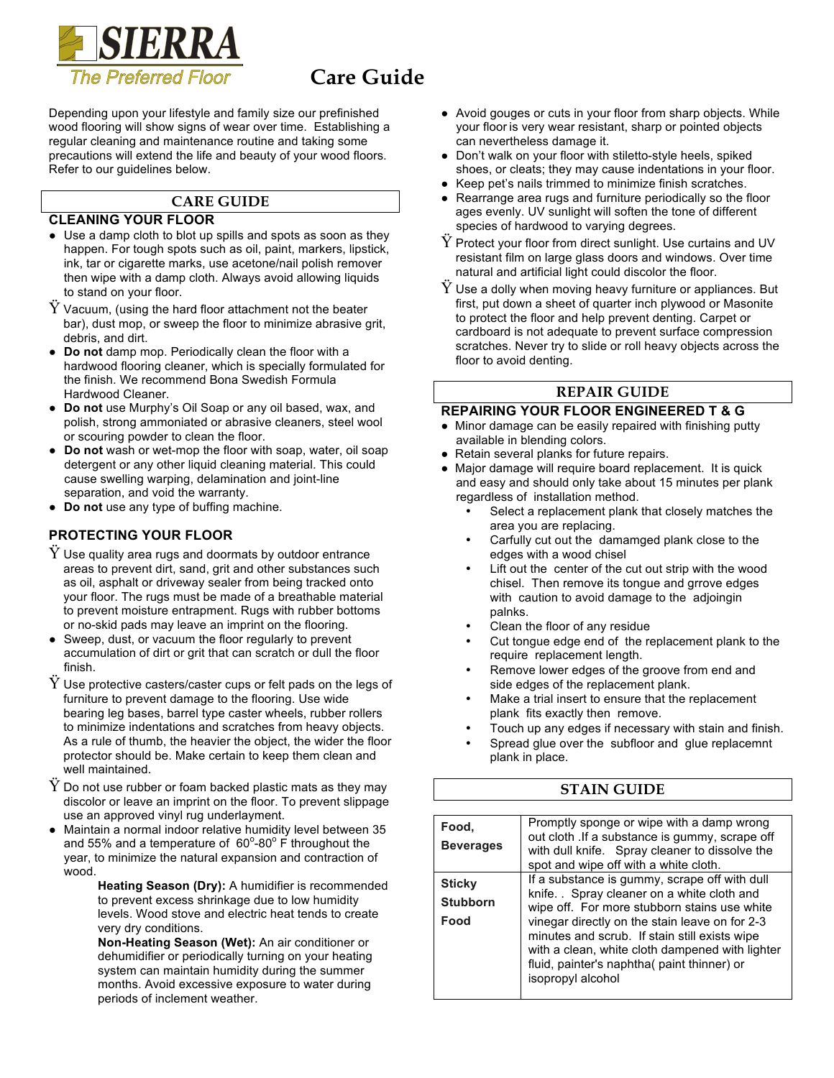

Depending upon your lifestyle and family size our prefinished wood flooring will show signs of wear over time. Establishing a regular cleaning and maintenance routine and taking some precautions will extend the life and beauty of your wood floors. Refer to our guidelines below.

# **CARE GUIDE**

#### **CLEANING YOUR FLOOR**

- Use a damp cloth to blot up spills and spots as soon as they happen. For tough spots such as oil, paint, markers, lipstick, ink, tar or cigarette marks, use acetone/nail polish remover then wipe with a damp cloth. Always avoid allowing liquids to stand on your floor.
- $\ddot{Y}$  Vacuum, (using the hard floor attachment not the beater bar), dust mop, or sweep the floor to minimize abrasive grit, debris, and dirt.
- **Do not** damp mop. Periodically clean the floor with a hardwood flooring cleaner, which is specially formulated for the finish. We recommend Bona Swedish Formula Hardwood Cleaner.
- **● Do not** use Murphy's Oil Soap or any oil based, wax, and polish, strong ammoniated or abrasive cleaners, steel wool or scouring powder to clean the floor.
- **Do not** wash or wet-mop the floor with soap, water, oil soap detergent or any other liquid cleaning material. This could cause swelling warping, delamination and joint-line separation, and void the warranty.
- **Do not** use any type of buffing machine.

## **PROTECTING YOUR FLOOR**

- $Y$  Use quality area rugs and doormats by outdoor entrance areas to prevent dirt, sand, grit and other substances such as oil, asphalt or driveway sealer from being tracked onto your floor. The rugs must be made of a breathable material to prevent moisture entrapment. Rugs with rubber bottoms or no-skid pads may leave an imprint on the flooring.
- Sweep, dust, or vacuum the floor regularly to prevent accumulation of dirt or grit that can scratch or dull the floor finish.
- $\ddot{Y}$  Use protective casters/caster cups or felt pads on the legs of furniture to prevent damage to the flooring. Use wide bearing leg bases, barrel type caster wheels, rubber rollers to minimize indentations and scratches from heavy objects. As a rule of thumb, the heavier the object, the wider the floor protector should be. Make certain to keep them clean and well maintained.
- $\ddot{\text{Y}}$  Do not use rubber or foam backed plastic mats as they may discolor or leave an imprint on the floor. To prevent slippage use an approved vinyl rug underlayment.
- Maintain a normal indoor relative humidity level between 35 and 55% and a temperature of  $60^{\circ}$ -80 $^{\circ}$  F throughout the year, to minimize the natural expansion and contraction of wood.
	- **Heating Season (Dry):** A humidifier is recommended to prevent excess shrinkage due to low humidity levels. Wood stove and electric heat tends to create very dry conditions.

**Non-Heating Season (Wet):** An air conditioner or dehumidifier or periodically turning on your heating system can maintain humidity during the summer months. Avoid excessive exposure to water during periods of inclement weather.

- Avoid gouges or cuts in your floor from sharp objects. While your floor is very wear resistant, sharp or pointed objects can nevertheless damage it.
- Don't walk on your floor with stiletto-style heels, spiked shoes, or cleats; they may cause indentations in your floor.
- Keep pet's nails trimmed to minimize finish scratches.
- Rearrange area rugs and furniture periodically so the floor ages evenly. UV sunlight will soften the tone of different species of hardwood to varying degrees.
- $Y$  Protect your floor from direct sunlight. Use curtains and UV resistant film on large glass doors and windows. Over time natural and artificial light could discolor the floor.
- $\check{Y}$  Use a dolly when moving heavy furniture or appliances. But first, put down a sheet of quarter inch plywood or Masonite to protect the floor and help prevent denting. Carpet or cardboard is not adequate to prevent surface compression scratches. Never try to slide or roll heavy objects across the floor to avoid denting.

### **REPAIR GUIDE**

### **REPAIRING YOUR FLOOR ENGINEERED T & G**

- Minor damage can be easily repaired with finishing putty available in blending colors.
- Retain several planks for future repairs.
- Major damage will require board replacement. It is quick and easy and should only take about 15 minutes per plank regardless of installation method.
	- Select a replacement plank that closely matches the area you are replacing.
	- Carfully cut out the damamged plank close to the edges with a wood chisel
	- Lift out the center of the cut out strip with the wood chisel. Then remove its tongue and grrove edges with caution to avoid damage to the adjoingin palnks.
	- Clean the floor of any residue
	- Cut tongue edge end of the replacement plank to the require replacement length.
	- Remove lower edges of the groove from end and side edges of the replacement plank.
	- Make a trial insert to ensure that the replacement plank fits exactly then remove.
	- Touch up any edges if necessary with stain and finish.
	- Spread glue over the subfloor and glue replacemnt plank in place.

## **STAIN GUIDE**

| Food.<br><b>Beverages</b>                | Promptly sponge or wipe with a damp wrong<br>out cloth . If a substance is gummy, scrape off<br>with dull knife. Spray cleaner to dissolve the<br>spot and wipe off with a white cloth.                                                                                                                                                                                |
|------------------------------------------|------------------------------------------------------------------------------------------------------------------------------------------------------------------------------------------------------------------------------------------------------------------------------------------------------------------------------------------------------------------------|
| <b>Sticky</b><br><b>Stubborn</b><br>Food | If a substance is gummy, scrape off with dull<br>knife. . Spray cleaner on a white cloth and<br>wipe off. For more stubborn stains use white<br>vinegar directly on the stain leave on for 2-3<br>minutes and scrub. If stain still exists wipe<br>with a clean, white cloth dampened with lighter<br>fluid, painter's naphtha( paint thinner) or<br>isopropyl alcohol |